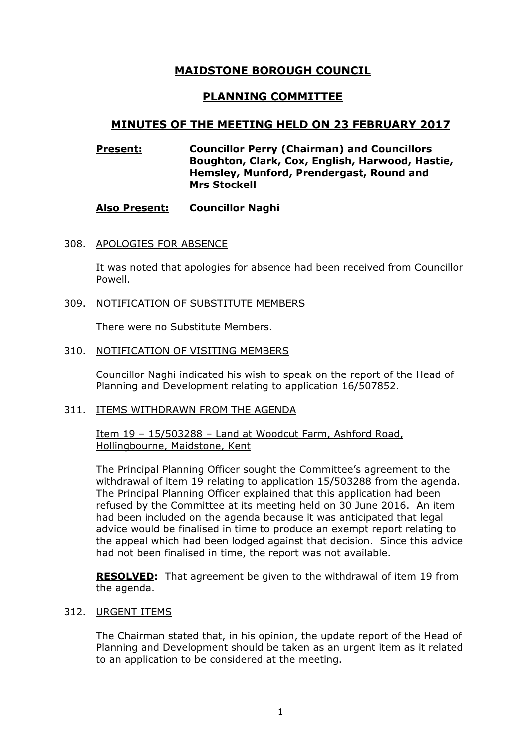# MAIDSTONE BOROUGH COUNCIL

# PLANNING COMMITTEE

## MINUTES OF THE MEETING HELD ON 23 FEBRUARY 2017

## Present: Councillor Perry (Chairman) and Councillors Boughton, Clark, Cox, English, Harwood, Hastie, Hemsley, Munford, Prendergast, Round and Mrs Stockell

## Also Present: Councillor Naghi

308. APOLOGIES FOR ABSENCE

It was noted that apologies for absence had been received from Councillor Powell.

309. NOTIFICATION OF SUBSTITUTE MEMBERS

There were no Substitute Members.

310. NOTIFICATION OF VISITING MEMBERS

Councillor Naghi indicated his wish to speak on the report of the Head of Planning and Development relating to application 16/507852.

#### 311. ITEMS WITHDRAWN FROM THE AGENDA

Item 19 – 15/503288 – Land at Woodcut Farm, Ashford Road, Hollingbourne, Maidstone, Kent

The Principal Planning Officer sought the Committee's agreement to the withdrawal of item 19 relating to application 15/503288 from the agenda. The Principal Planning Officer explained that this application had been refused by the Committee at its meeting held on 30 June 2016. An item had been included on the agenda because it was anticipated that legal advice would be finalised in time to produce an exempt report relating to the appeal which had been lodged against that decision. Since this advice had not been finalised in time, the report was not available.

**RESOLVED:** That agreement be given to the withdrawal of item 19 from the agenda.

## 312. URGENT ITEMS

The Chairman stated that, in his opinion, the update report of the Head of Planning and Development should be taken as an urgent item as it related to an application to be considered at the meeting.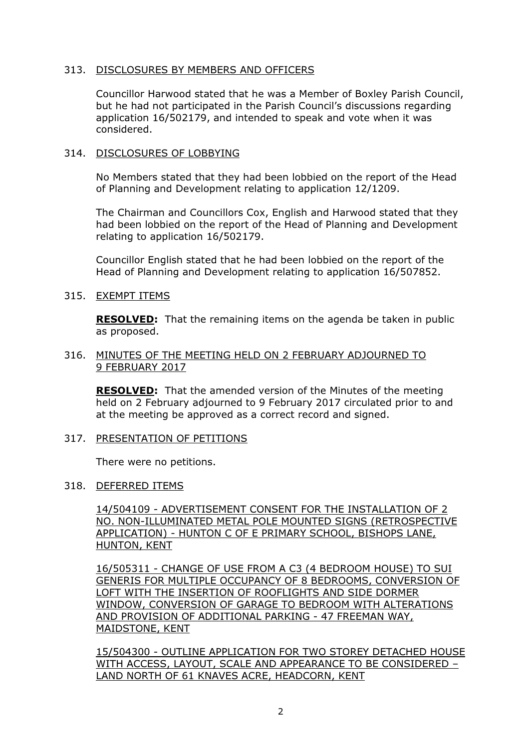## 313. DISCLOSURES BY MEMBERS AND OFFICERS

Councillor Harwood stated that he was a Member of Boxley Parish Council, but he had not participated in the Parish Council's discussions regarding application 16/502179, and intended to speak and vote when it was considered.

## 314. DISCLOSURES OF LOBBYING

No Members stated that they had been lobbied on the report of the Head of Planning and Development relating to application 12/1209.

The Chairman and Councillors Cox, English and Harwood stated that they had been lobbied on the report of the Head of Planning and Development relating to application 16/502179.

Councillor English stated that he had been lobbied on the report of the Head of Planning and Development relating to application 16/507852.

## 315. EXEMPT ITEMS

**RESOLVED:** That the remaining items on the agenda be taken in public as proposed.

#### 316. MINUTES OF THE MEETING HELD ON 2 FEBRUARY ADJOURNED TO 9 FEBRUARY 2017

RESOLVED: That the amended version of the Minutes of the meeting held on 2 February adjourned to 9 February 2017 circulated prior to and at the meeting be approved as a correct record and signed.

#### 317. PRESENTATION OF PETITIONS

There were no petitions.

#### 318. DEFERRED ITEMS

14/504109 - ADVERTISEMENT CONSENT FOR THE INSTALLATION OF 2 NO. NON-ILLUMINATED METAL POLE MOUNTED SIGNS (RETROSPECTIVE APPLICATION) - HUNTON C OF E PRIMARY SCHOOL, BISHOPS LANE, HUNTON, KENT

16/505311 - CHANGE OF USE FROM A C3 (4 BEDROOM HOUSE) TO SUI GENERIS FOR MULTIPLE OCCUPANCY OF 8 BEDROOMS, CONVERSION OF LOFT WITH THE INSERTION OF ROOFLIGHTS AND SIDE DORMER WINDOW, CONVERSION OF GARAGE TO BEDROOM WITH ALTERATIONS AND PROVISION OF ADDITIONAL PARKING - 47 FREEMAN WAY, MAIDSTONE, KENT

15/504300 - OUTLINE APPLICATION FOR TWO STOREY DETACHED HOUSE WITH ACCESS, LAYOUT, SCALE AND APPEARANCE TO BE CONSIDERED – LAND NORTH OF 61 KNAVES ACRE, HEADCORN, KENT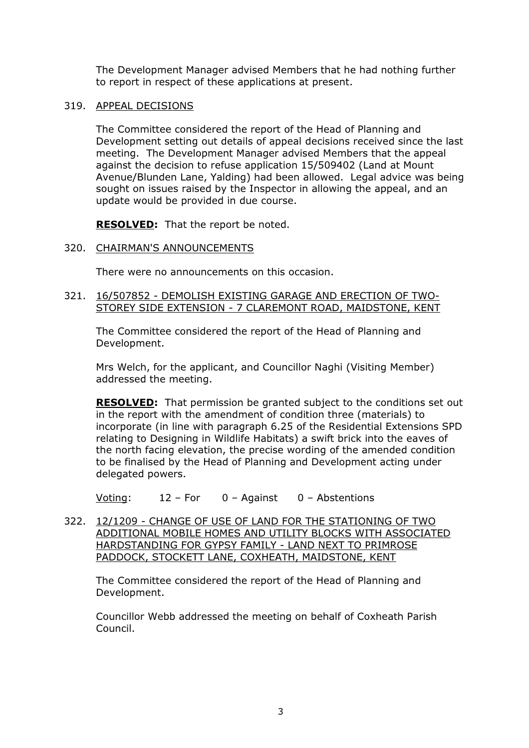The Development Manager advised Members that he had nothing further to report in respect of these applications at present.

#### 319. APPEAL DECISIONS

The Committee considered the report of the Head of Planning and Development setting out details of appeal decisions received since the last meeting. The Development Manager advised Members that the appeal against the decision to refuse application 15/509402 (Land at Mount Avenue/Blunden Lane, Yalding) had been allowed. Legal advice was being sought on issues raised by the Inspector in allowing the appeal, and an update would be provided in due course.

RESOLVED: That the report be noted.

## 320. CHAIRMAN'S ANNOUNCEMENTS

There were no announcements on this occasion.

#### 321. 16/507852 - DEMOLISH EXISTING GARAGE AND ERECTION OF TWO-STOREY SIDE EXTENSION - 7 CLAREMONT ROAD, MAIDSTONE, KENT

The Committee considered the report of the Head of Planning and Development.

Mrs Welch, for the applicant, and Councillor Naghi (Visiting Member) addressed the meeting.

RESOLVED: That permission be granted subject to the conditions set out in the report with the amendment of condition three (materials) to incorporate (in line with paragraph 6.25 of the Residential Extensions SPD relating to Designing in Wildlife Habitats) a swift brick into the eaves of the north facing elevation, the precise wording of the amended condition to be finalised by the Head of Planning and Development acting under delegated powers.

Voting: 12 – For 0 – Against 0 – Abstentions

322. 12/1209 - CHANGE OF USE OF LAND FOR THE STATIONING OF TWO ADDITIONAL MOBILE HOMES AND UTILITY BLOCKS WITH ASSOCIATED HARDSTANDING FOR GYPSY FAMILY - LAND NEXT TO PRIMROSE PADDOCK, STOCKETT LANE, COXHEATH, MAIDSTONE, KENT

The Committee considered the report of the Head of Planning and Development.

Councillor Webb addressed the meeting on behalf of Coxheath Parish Council.